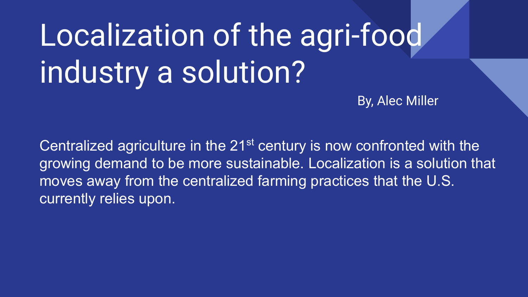# Localization of the agri-food industry a solution?

By, Alec Miller

Centralized agriculture in the 21<sup>st</sup> century is now confronted with the growing demand to be more sustainable. Localization is a solution that moves away from the centralized farming practices that the U.S. currently relies upon.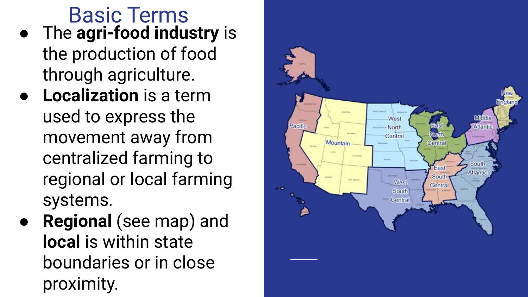Basic Terms ● The **agri-food industry** is the production of food through agriculture.

- **Localization** is a term used to express the movement away from centralized farming to regional or local farming systems.
- **● Regional** (see map) and **local** is within state boundaries or in close proximity.

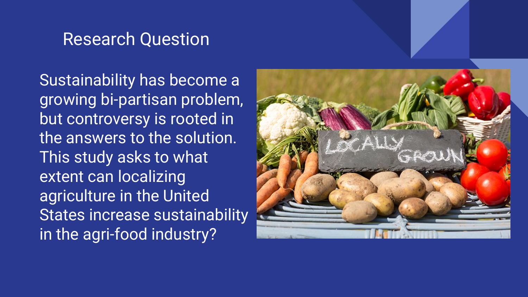#### Research Question

Sustainability has become a growing bi-partisan problem, but controversy is rooted in the answers to the solution. This study asks to what extent can localizing agriculture in the United States increase sustainability in the agri-food industry?

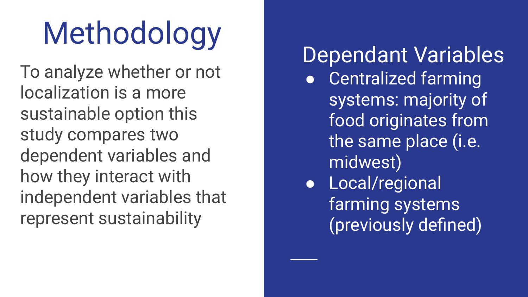# Methodology

To analyze whether or not localization is a more sustainable option this study compares two dependent variables and how they interact with independent variables that represent sustainability

Dependant Variables ● Centralized farming systems: majority of food originates from the same place (i.e. midwest) ● Local/regional farming systems (previously defined)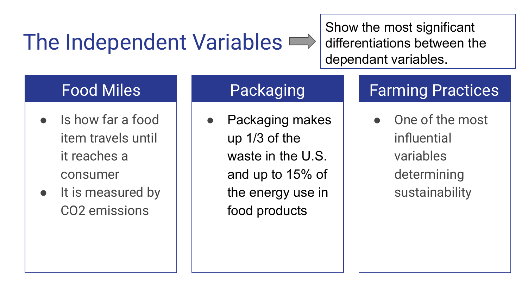### The Independent Variables  $\implies$

Show the most significant differentiations between the dependant variables.

#### Food Miles

- Is how far a food item travels until it reaches a consumer
- It is measured by CO2 emissions

#### Packaging

Packaging makes up 1/3 of the waste in the U.S. and up to 15% of the energy use in food products

### Farming Practices

One of the most influential variables determining sustainability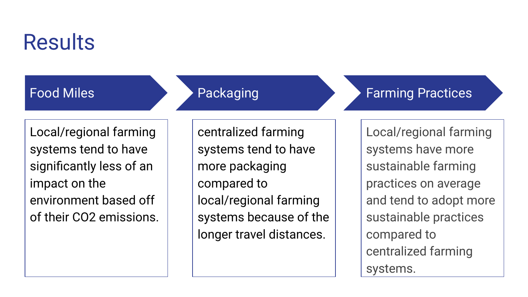### **Results**

#### Food Miles

Packaging

Local/regional farming systems tend to have significantly less of an impact on the environment based off of their CO2 emissions. centralized farming systems tend to have more packaging compared to local/regional farming systems because of the longer travel distances.

Farming Practices

Local/regional farming systems have more sustainable farming practices on average and tend to adopt more sustainable practices compared to centralized farming systems.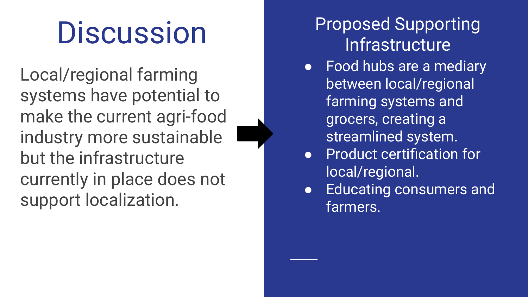## **Discussion**

Local/regional farming systems have potential to make the current agri-food industry more sustainable but the infrastructure currently in place does not support localization.

### Proposed Supporting **Infrastructure**

- Food hubs are a mediary between local/regional farming systems and grocers, creating a streamlined system.
- Product certification for local/regional.
- Educating consumers and farmers.